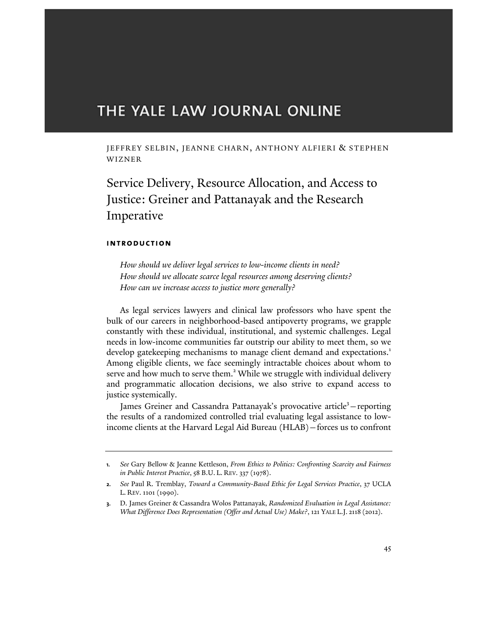# THE YALE LAW JOURNAL ONLINE

JEFFREY SELBIN, JEANNE CHARN, ANTHONY ALFIERI & STEPHEN WIZNER

Service Delivery, Resource Allocation, and Access to Justice: Greiner and Pattanayak and the Research Imperative

# **introduction**

*How should we deliver legal services to low-income clients in need? How should we allocate scarce legal resources among deserving clients? How can we increase access to justice more generally?*

As legal services lawyers and clinical law professors who have spent the bulk of our careers in neighborhood-based antipoverty programs, we grapple constantly with these individual, institutional, and systemic challenges. Legal needs in low-income communities far outstrip our ability to meet them, so we develop gatekeeping mechanisms to manage client demand and expectations.<sup>1</sup> Among eligible clients, we face seemingly intractable choices about whom to serve and how much to serve them.<sup>2</sup> While we struggle with individual delivery and programmatic allocation decisions, we also strive to expand access to justice systemically.

James Greiner and Cassandra Pattanayak's provocative article<sup>3</sup> - reporting the results of a randomized controlled trial evaluating legal assistance to lowincome clients at the Harvard Legal Aid Bureau (HLAB)—forces us to confront

**<sup>1.</sup>** *See* Gary Bellow & Jeanne Kettleson, *From Ethics to Politics: Confronting Scarcity and Fairness in Public Interest Practice*, 58 B.U. L. REV. 337 (1978).

**<sup>2.</sup>** *See* Paul R. Tremblay, *Toward a Community-Based Ethic for Legal Services Practice*, 37 UCLA L. REV. 1101 (1990).

**<sup>3.</sup>** D. James Greiner & Cassandra Wolos Pattanayak, *Randomized Evaluation in Legal Assistance: What Difference Does Representation (Offer and Actual Use) Make?*, 121 YALE L.J. 2118 (2012).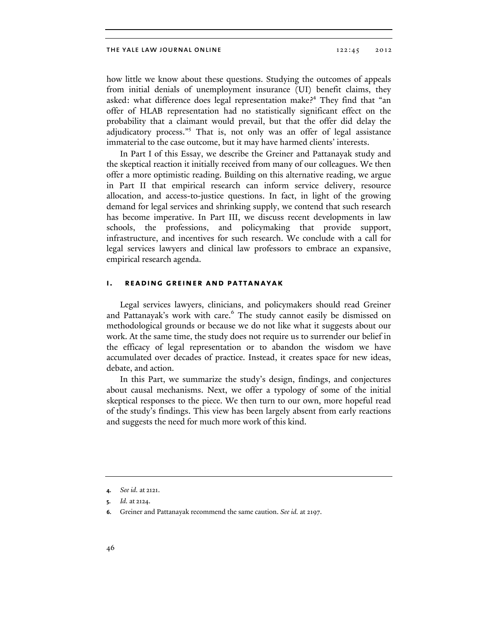how little we know about these questions. Studying the outcomes of appeals from initial denials of unemployment insurance (UI) benefit claims, they asked: what difference does legal representation make?<sup>4</sup> They find that "an offer of HLAB representation had no statistically significant effect on the probability that a claimant would prevail, but that the offer did delay the adjudicatory process."<sup>5</sup> That is, not only was an offer of legal assistance immaterial to the case outcome, but it may have harmed clients' interests.

In Part I of this Essay, we describe the Greiner and Pattanayak study and the skeptical reaction it initially received from many of our colleagues. We then offer a more optimistic reading. Building on this alternative reading, we argue in Part II that empirical research can inform service delivery, resource allocation, and access-to-justice questions. In fact, in light of the growing demand for legal services and shrinking supply, we contend that such research has become imperative. In Part III, we discuss recent developments in law schools, the professions, and policymaking that provide support, infrastructure, and incentives for such research. We conclude with a call for legal services lawyers and clinical law professors to embrace an expansive, empirical research agenda.

# **i. reading greiner and pattanayak**

Legal services lawyers, clinicians, and policymakers should read Greiner and Pattanayak's work with care.<sup>6</sup> The study cannot easily be dismissed on methodological grounds or because we do not like what it suggests about our work. At the same time, the study does not require us to surrender our belief in the efficacy of legal representation or to abandon the wisdom we have accumulated over decades of practice. Instead, it creates space for new ideas, debate, and action.

In this Part, we summarize the study's design, findings, and conjectures about causal mechanisms. Next, we offer a typology of some of the initial skeptical responses to the piece. We then turn to our own, more hopeful read of the study's findings. This view has been largely absent from early reactions and suggests the need for much more work of this kind.

**<sup>4.</sup>** *See id.* at 2121.

**<sup>5.</sup>** *Id.* at 2124.

**<sup>6.</sup>** Greiner and Pattanayak recommend the same caution. *See id.* at 2197.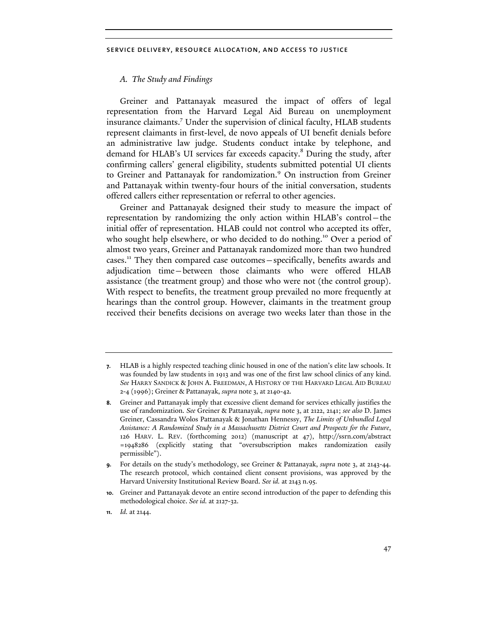## *A. The Study and Findings*

Greiner and Pattanayak measured the impact of offers of legal representation from the Harvard Legal Aid Bureau on unemployment insurance claimants.7 Under the supervision of clinical faculty, HLAB students represent claimants in first-level, de novo appeals of UI benefit denials before an administrative law judge. Students conduct intake by telephone, and demand for HLAB's UI services far exceeds capacity.<sup>8</sup> During the study, after confirming callers' general eligibility, students submitted potential UI clients to Greiner and Pattanayak for randomization.<sup>9</sup> On instruction from Greiner and Pattanayak within twenty-four hours of the initial conversation, students offered callers either representation or referral to other agencies.

Greiner and Pattanayak designed their study to measure the impact of representation by randomizing the only action within HLAB's control—the initial offer of representation. HLAB could not control who accepted its offer, who sought help elsewhere, or who decided to do nothing.<sup>10</sup> Over a period of almost two years, Greiner and Pattanayak randomized more than two hundred cases.11 They then compared case outcomes—specifically, benefits awards and adjudication time—between those claimants who were offered HLAB assistance (the treatment group) and those who were not (the control group). With respect to benefits, the treatment group prevailed no more frequently at hearings than the control group. However, claimants in the treatment group received their benefits decisions on average two weeks later than those in the

**<sup>7.</sup>** HLAB is a highly respected teaching clinic housed in one of the nation's elite law schools. It was founded by law students in 1913 and was one of the first law school clinics of any kind. *See* HARRY SANDICK & JOHN A. FREEDMAN, A HISTORY OF THE HARVARD LEGAL AID BUREAU 2-4 (1996); Greiner & Pattanayak, *supra* note 3, at 2140-42.

**<sup>8.</sup>** Greiner and Pattanayak imply that excessive client demand for services ethically justifies the use of randomization. *See* Greiner & Pattanayak, *supra* note 3, at 2122, 2141; *see also* D. James Greiner, Cassandra Wolos Pattanayak & Jonathan Hennessy, *The Limits of Unbundled Legal Assistance: A Randomized Study in a Massachusetts District Court and Prospects for the Future*, 126 HARV. L. REV. (forthcoming 2012) (manuscript at 47), http://ssrn.com/abstract =1948286 (explicitly stating that "oversubscription makes randomization easily permissible").

**<sup>9.</sup>** For details on the study's methodology, see Greiner & Pattanayak, *supra* note 3, at 2143-44. The research protocol, which contained client consent provisions, was approved by the Harvard University Institutional Review Board. *See id.* at 2143 n.95.

**<sup>10.</sup>** Greiner and Pattanayak devote an entire second introduction of the paper to defending this methodological choice. *See id.* at 2127-32.

**<sup>11.</sup>** *Id.* at 2144.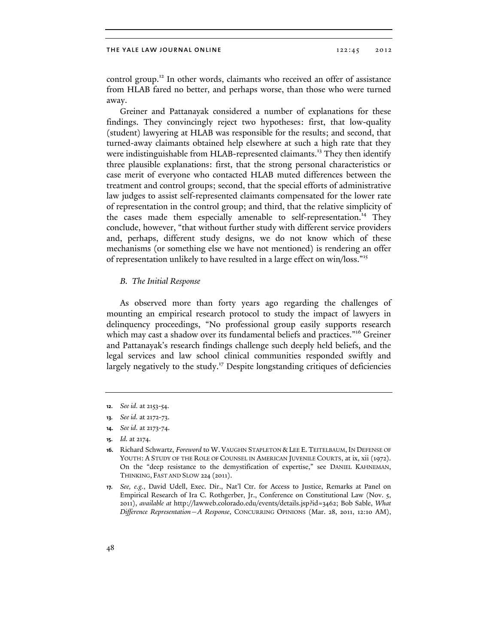control group.<sup>12</sup> In other words, claimants who received an offer of assistance from HLAB fared no better, and perhaps worse, than those who were turned away.

Greiner and Pattanayak considered a number of explanations for these findings. They convincingly reject two hypotheses: first, that low-quality (student) lawyering at HLAB was responsible for the results; and second, that turned-away claimants obtained help elsewhere at such a high rate that they were indistinguishable from HLAB-represented claimants.<sup>13</sup> They then identify three plausible explanations: first, that the strong personal characteristics or case merit of everyone who contacted HLAB muted differences between the treatment and control groups; second, that the special efforts of administrative law judges to assist self-represented claimants compensated for the lower rate of representation in the control group; and third, that the relative simplicity of the cases made them especially amenable to self-representation.<sup>14</sup> They conclude, however, "that without further study with different service providers and, perhaps, different study designs, we do not know which of these mechanisms (or something else we have not mentioned) is rendering an offer of representation unlikely to have resulted in a large effect on win/loss."15

#### *B. The Initial Response*

As observed more than forty years ago regarding the challenges of mounting an empirical research protocol to study the impact of lawyers in delinquency proceedings, "No professional group easily supports research which may cast a shadow over its fundamental beliefs and practices."<sup>16</sup> Greiner and Pattanayak's research findings challenge such deeply held beliefs, and the legal services and law school clinical communities responded swiftly and largely negatively to the study.<sup>17</sup> Despite longstanding critiques of deficiencies

- **14.** *See id.* at 2173-74.
- **15.** *Id.* at 2174.

**<sup>12.</sup>** *See id.* at 2153-54.

**<sup>13.</sup>** *See id.* at 2172-73.

**<sup>16.</sup>** Richard Schwartz, *Foreword* to W. VAUGHN STAPLETON & LEE E. TEITELBAUM, IN DEFENSE OF YOUTH: A STUDY OF THE ROLE OF COUNSEL IN AMERICAN JUVENILE COURTS, at ix, xii (1972). On the "deep resistance to the demystification of expertise," see DANIEL KAHNEMAN, THINKING, FAST AND SLOW 224 (2011).

**<sup>17.</sup>** *See, e.g.*, David Udell, Exec. Dir., Nat'l Ctr. for Access to Justice, Remarks at Panel on Empirical Research of Ira C. Rothgerber, Jr., Conference on Constitutional Law (Nov. 5, 2011), *available at* http://lawweb.colorado.edu/events/details.jsp?id=3462; Bob Sable, *What Difference Representation—A Response*, CONCURRING OPINIONS (Mar. 28, 2011, 12:10 AM),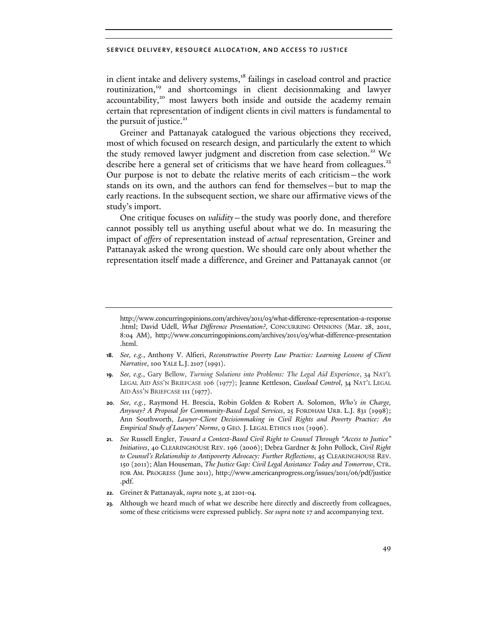in client intake and delivery systems,<sup>18</sup> failings in caseload control and practice routinization,<sup>19</sup> and shortcomings in client decisionmaking and lawyer accountability,<sup>20</sup> most lawyers both inside and outside the academy remain certain that representation of indigent clients in civil matters is fundamental to the pursuit of justice. $21$ 

Greiner and Pattanayak catalogued the various objections they received, most of which focused on research design, and particularly the extent to which the study removed lawyer judgment and discretion from case selection.<sup>22</sup> We describe here a general set of criticisms that we have heard from colleagues.<sup>23</sup> Our purpose is not to debate the relative merits of each criticism—the work stands on its own, and the authors can fend for themselves—but to map the early reactions. In the subsequent section, we share our affirmative views of the study's import.

One critique focuses on *validity*—the study was poorly done, and therefore cannot possibly tell us anything useful about what we do. In measuring the impact of *offers* of representation instead of *actual* representation, Greiner and Pattanayak asked the wrong question. We should care only about whether the representation itself made a difference, and Greiner and Pattanayak cannot (or

- **18.** *See, e.g.*, Anthony V. Alfieri, *Reconstructive Poverty Law Practice: Learning Lessons of Client Narrative*, 100 YALE L.J. 2107 (1991).
- **19.** *See, e.g.*, Gary Bellow, *Turning Solutions into Problems: The Legal Aid Experience*, 34 NAT'L LEGAL AID ASS'N BRIEFCASE 106 (1977); Jeanne Kettleson, *Caseload Control*, 34 NAT'L LEGAL AID ASS'N BRIEFCASE 111 (1977).
- **20.** *See, e.g.*, Raymond H. Brescia, Robin Golden & Robert A. Solomon, *Who's in Charge, Anyway? A Proposal for Community-Based Legal Services*, 25 FORDHAM URB. L.J. 831 (1998); Ann Southworth, *Lawyer-Client Decisionmaking in Civil Rights and Poverty Practice: An Empirical Study of Lawyers' Norms*, 9 GEO. J. LEGAL ETHICS 1101 (1996).
- **21.** *See* Russell Engler, *Toward a Context-Based Civil Right to Counsel Through "Access to Justice" Initiatives*, 40 CLEARINGHOUSE REV. 196 (2006); Debra Gardner & John Pollock, *Civil Right to Counsel's Relationship to Antipoverty Advocacy: Further Reflections*, 45 CLEARINGHOUSE REV. 150 (2011); Alan Houseman, *The Justice Gap: Civil Legal Assistance Today and Tomorrow*, CTR. FOR AM. PROGRESS (June 2011), http://www.americanprogress.org/issues/2011/06/pdf/justice .pdf.
- **22.** Greiner & Pattanayak, *supra* note 3, at 2201-04*.*
- **23.** Although we heard much of what we describe here directly and discreetly from colleagues, some of these criticisms were expressed publicly. *See supra* note 17 and accompanying text.

http://www.concurringopinions.com/archives/2011/03/what-difference-representation-a-response .html; David Udell, *What Difference Presentation?*, CONCURRING OPINIONS (Mar. 28, 2011, 8:04 AM), http://www.concurringopinions.com/archives/2011/03/what-difference-presentation .html.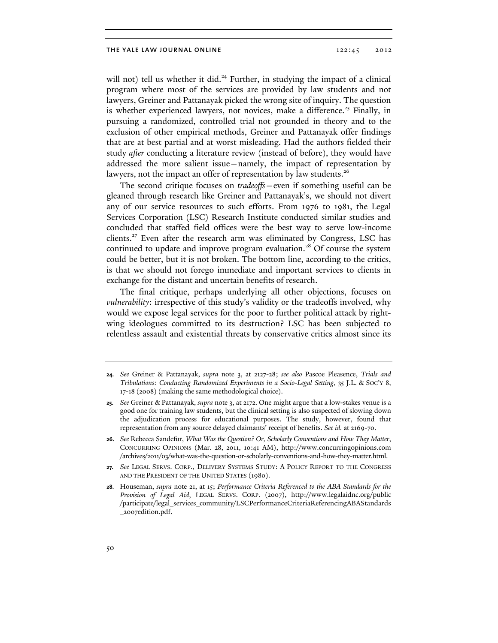will not) tell us whether it did.<sup>24</sup> Further, in studying the impact of a clinical program where most of the services are provided by law students and not lawyers, Greiner and Pattanayak picked the wrong site of inquiry. The question is whether experienced lawyers, not novices, make a difference.<sup>25</sup> Finally, in pursuing a randomized, controlled trial not grounded in theory and to the exclusion of other empirical methods, Greiner and Pattanayak offer findings that are at best partial and at worst misleading. Had the authors fielded their study *after* conducting a literature review (instead of before), they would have addressed the more salient issue—namely, the impact of representation by lawyers, not the impact an offer of representation by law students.<sup>26</sup>

The second critique focuses on *tradeoffs*—even if something useful can be gleaned through research like Greiner and Pattanayak's, we should not divert any of our service resources to such efforts. From 1976 to 1981, the Legal Services Corporation (LSC) Research Institute conducted similar studies and concluded that staffed field offices were the best way to serve low-income clients.<sup>27</sup> Even after the research arm was eliminated by Congress, LSC has continued to update and improve program evaluation.<sup>28</sup> Of course the system could be better, but it is not broken. The bottom line, according to the critics, is that we should not forego immediate and important services to clients in exchange for the distant and uncertain benefits of research.

The final critique, perhaps underlying all other objections, focuses on *vulnerability*: irrespective of this study's validity or the tradeoffs involved, why would we expose legal services for the poor to further political attack by rightwing ideologues committed to its destruction? LSC has been subjected to relentless assault and existential threats by conservative critics almost since its

- **26.** *See* Rebecca Sandefur, *What Was the Question? Or, Scholarly Conventions and How They Matter*, CONCURRING OPINIONS (Mar. 28, 2011, 10:41 AM), http://www.concurringopinions.com /archives/2011/03/what-was-the-question-or-scholarly-conventions-and-how-they-matter.html.
- **27.** *See* LEGAL SERVS. CORP., DELIVERY SYSTEMS STUDY: A POLICY REPORT TO THE CONGRESS AND THE PRESIDENT OF THE UNITED STATES (1980).
- **28.** Houseman, *supra* note 21, at 15; *Performance Criteria Referenced to the ABA Standards for the Provision of Legal Aid*, LEGAL SERVS. CORP. (2007), http://www.legalaidnc.org/public /participate/legal\_services\_community/LSCPerformanceCriteriaReferencingABAStandards \_2007edition.pdf.

**<sup>24.</sup>** *See* Greiner & Pattanayak, *supra* note 3, at 2127-28; *see also* Pascoe Pleasence, *Trials and Tribulations: Conducting Randomized Experiments in a Socio-Legal Setting*, 35 J.L. & SOC'Y 8, 17-18 (2008) (making the same methodological choice).

**<sup>25.</sup>** *See* Greiner & Pattanayak, *supra* note 3, at 2172. One might argue that a low-stakes venue is a good one for training law students, but the clinical setting is also suspected of slowing down the adjudication process for educational purposes. The study, however, found that representation from any source delayed claimants' receipt of benefits. *See id.* at 2169-70.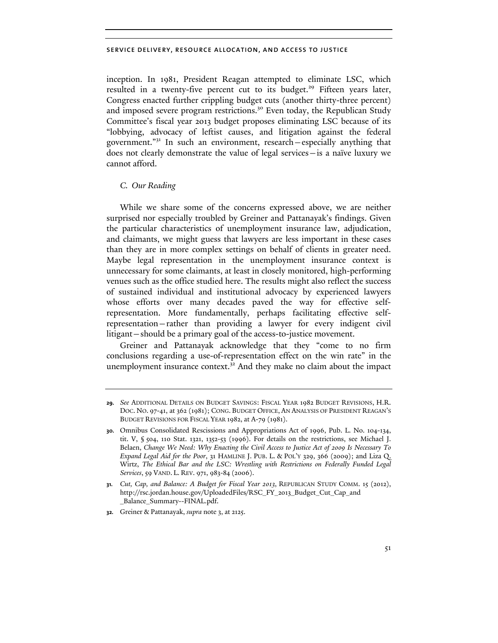inception. In 1981, President Reagan attempted to eliminate LSC, which resulted in a twenty-five percent cut to its budget.<sup>29</sup> Fifteen years later, Congress enacted further crippling budget cuts (another thirty-three percent) and imposed severe program restrictions.<sup>30</sup> Even today, the Republican Study Committee's fiscal year 2013 budget proposes eliminating LSC because of its "lobbying, advocacy of leftist causes, and litigation against the federal government."31 In such an environment, research—especially anything that does not clearly demonstrate the value of legal services—is a naïve luxury we cannot afford.

# *C. Our Reading*

While we share some of the concerns expressed above, we are neither surprised nor especially troubled by Greiner and Pattanayak's findings. Given the particular characteristics of unemployment insurance law, adjudication, and claimants, we might guess that lawyers are less important in these cases than they are in more complex settings on behalf of clients in greater need. Maybe legal representation in the unemployment insurance context is unnecessary for some claimants, at least in closely monitored, high-performing venues such as the office studied here. The results might also reflect the success of sustained individual and institutional advocacy by experienced lawyers whose efforts over many decades paved the way for effective selfrepresentation. More fundamentally, perhaps facilitating effective selfrepresentation—rather than providing a lawyer for every indigent civil litigant—should be a primary goal of the access-to-justice movement.

Greiner and Pattanayak acknowledge that they "come to no firm conclusions regarding a use-of-representation effect on the win rate" in the unemployment insurance context. $3<sup>2</sup>$  And they make no claim about the impact

**32.** Greiner & Pattanayak, *supra* note 3, at 2125.

**<sup>29.</sup>** *See* ADDITIONAL DETAILS ON BUDGET SAVINGS: FISCAL YEAR 1982 BUDGET REVISIONS, H.R. DOC. NO. 97-41, at 362 (1981); CONG. BUDGET OFFICE, AN ANALYSIS OF PRESIDENT REAGAN'S BUDGET REVISIONS FOR FISCAL YEAR 1982, at A-79 (1981).

**<sup>30.</sup>** Omnibus Consolidated Rescissions and Appropriations Act of 1996, Pub. L. No. 104-134, tit. V, § 504, 110 Stat. 1321, 1352-53 (1996). For details on the restrictions, see Michael J. Belaen, *Change We Need: Why Enacting the Civil Access to Justice Act of 2009 Is Necessary To Expand Legal Aid for the Poor*, 31 HAMLINE J. PUB. L. & POL'Y 329, 366 (2009); and Liza Q. Wirtz, *The Ethical Bar and the LSC: Wrestling with Restrictions on Federally Funded Legal Services*, 59 VAND. L. REV. 971, 983-84 (2006).

**<sup>31.</sup>** *Cut, Cap, and Balance: A Budget for Fiscal Year 2013*, REPUBLICAN STUDY COMM. 15 (2012), http://rsc.jordan.house.gov/UploadedFiles/RSC\_FY\_2013\_Budget\_Cut\_Cap\_and \_Balance\_Summary--FINAL.pdf.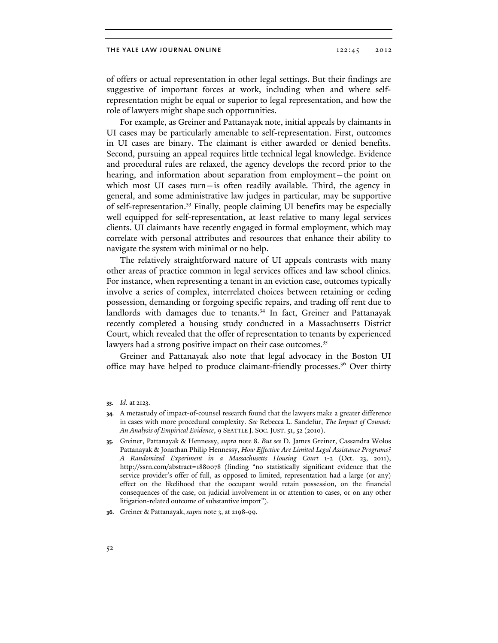of offers or actual representation in other legal settings. But their findings are suggestive of important forces at work, including when and where selfrepresentation might be equal or superior to legal representation, and how the role of lawyers might shape such opportunities.

For example, as Greiner and Pattanayak note, initial appeals by claimants in UI cases may be particularly amenable to self-representation. First, outcomes in UI cases are binary. The claimant is either awarded or denied benefits. Second, pursuing an appeal requires little technical legal knowledge. Evidence and procedural rules are relaxed, the agency develops the record prior to the hearing, and information about separation from employment—the point on which most UI cases turn—is often readily available. Third, the agency in general, and some administrative law judges in particular, may be supportive of self-representation.33 Finally, people claiming UI benefits may be especially well equipped for self-representation, at least relative to many legal services clients. UI claimants have recently engaged in formal employment, which may correlate with personal attributes and resources that enhance their ability to navigate the system with minimal or no help.

The relatively straightforward nature of UI appeals contrasts with many other areas of practice common in legal services offices and law school clinics. For instance, when representing a tenant in an eviction case, outcomes typically involve a series of complex, interrelated choices between retaining or ceding possession, demanding or forgoing specific repairs, and trading off rent due to landlords with damages due to tenants.<sup>34</sup> In fact, Greiner and Pattanayak recently completed a housing study conducted in a Massachusetts District Court, which revealed that the offer of representation to tenants by experienced lawyers had a strong positive impact on their case outcomes.<sup>35</sup>

Greiner and Pattanayak also note that legal advocacy in the Boston UI office may have helped to produce claimant-friendly processes.<sup>36</sup> Over thirty

**<sup>33.</sup>** *Id.* at 2123.

**<sup>34.</sup>** A metastudy of impact-of-counsel research found that the lawyers make a greater difference in cases with more procedural complexity. *See* Rebecca L. Sandefur, *The Impact of Counsel: An Analysis of Empirical Evidence*, 9 SEATTLE J. SOC.JUST. 51, 52 (2010).

**<sup>35.</sup>** Greiner, Pattanayak & Hennessy, *supra* note 8. *But see* D. James Greiner, Cassandra Wolos Pattanayak & Jonathan Philip Hennessy, *How Effective Are Limited Legal Assistance Programs? A Randomized Experiment in a Massachusetts Housing Court* 1-2 (Oct. 23, 2011), http://ssrn.com/abstract=1880078 (finding "no statistically significant evidence that the service provider's offer of full, as opposed to limited, representation had a large (or any) effect on the likelihood that the occupant would retain possession, on the financial consequences of the case, on judicial involvement in or attention to cases, or on any other litigation-related outcome of substantive import").

**<sup>36.</sup>** Greiner & Pattanayak, *supra* note 3, at 2198-99.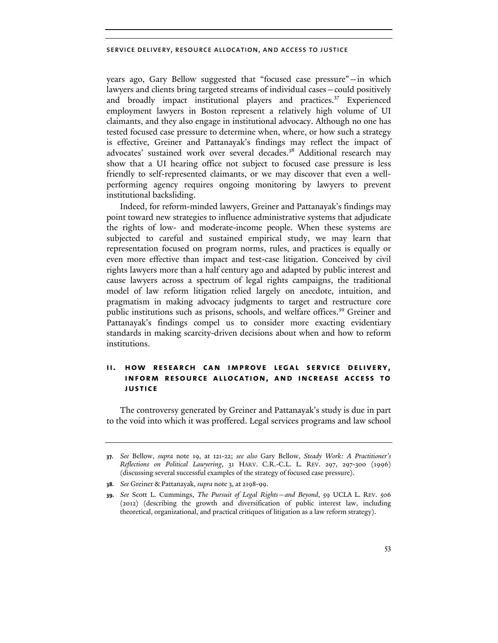years ago, Gary Bellow suggested that "focused case pressure"—in which lawyers and clients bring targeted streams of individual cases—could positively and broadly impact institutional players and practices. $37$  Experienced employment lawyers in Boston represent a relatively high volume of UI claimants, and they also engage in institutional advocacy. Although no one has tested focused case pressure to determine when, where, or how such a strategy is effective, Greiner and Pattanayak's findings may reflect the impact of advocates' sustained work over several decades.<sup>38</sup> Additional research may show that a UI hearing office not subject to focused case pressure is less friendly to self-represented claimants, or we may discover that even a wellperforming agency requires ongoing monitoring by lawyers to prevent institutional backsliding.

Indeed, for reform-minded lawyers, Greiner and Pattanayak's findings may point toward new strategies to influence administrative systems that adjudicate the rights of low- and moderate-income people. When these systems are subjected to careful and sustained empirical study, we may learn that representation focused on program norms, rules, and practices is equally or even more effective than impact and test-case litigation. Conceived by civil rights lawyers more than a half century ago and adapted by public interest and cause lawyers across a spectrum of legal rights campaigns, the traditional model of law reform litigation relied largely on anecdote, intuition, and pragmatism in making advocacy judgments to target and restructure core public institutions such as prisons, schools, and welfare offices.<sup>39</sup> Greiner and Pattanayak's findings compel us to consider more exacting evidentiary standards in making scarcity-driven decisions about when and how to reform institutions.

# **ii. how research can improve legal service delivery, inform resource allocation, and increase access to justice**

The controversy generated by Greiner and Pattanayak's study is due in part to the void into which it was proffered. Legal services programs and law school

**<sup>37.</sup>** *See* Bellow, *supra* note 19, at 121-22; *see also* Gary Bellow, *Steady Work: A Practitioner's Reflections on Political Lawyering*, 31 HARV. C.R.-C.L. L. REV. 297, 297-300 (1996) (discussing several successful examples of the strategy of focused case pressure).

**<sup>38.</sup>** *See* Greiner & Pattanayak, *supra* note 3, at 2198-99.

**<sup>39.</sup>** *See* Scott L. Cummings, *The Pursuit of Legal Rights—and Beyond*, 59 UCLA L. REV. 506 (2012) (describing the growth and diversification of public interest law, including theoretical, organizational, and practical critiques of litigation as a law reform strategy).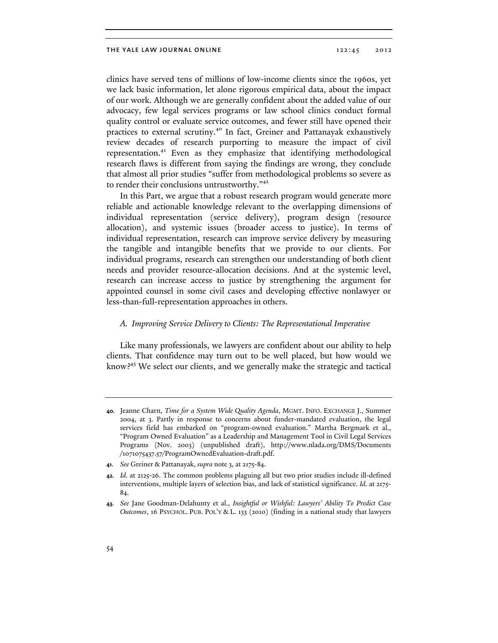clinics have served tens of millions of low-income clients since the 1960s, yet we lack basic information, let alone rigorous empirical data, about the impact of our work. Although we are generally confident about the added value of our advocacy, few legal services programs or law school clinics conduct formal quality control or evaluate service outcomes, and fewer still have opened their practices to external scrutiny.40 In fact, Greiner and Pattanayak exhaustively review decades of research purporting to measure the impact of civil representation.41 Even as they emphasize that identifying methodological research flaws is different from saying the findings are wrong, they conclude that almost all prior studies "suffer from methodological problems so severe as to render their conclusions untrustworthy."<sup>42</sup>

In this Part, we argue that a robust research program would generate more reliable and actionable knowledge relevant to the overlapping dimensions of individual representation (service delivery), program design (resource allocation), and systemic issues (broader access to justice). In terms of individual representation, research can improve service delivery by measuring the tangible and intangible benefits that we provide to our clients. For individual programs, research can strengthen our understanding of both client needs and provider resource-allocation decisions. And at the systemic level, research can increase access to justice by strengthening the argument for appointed counsel in some civil cases and developing effective nonlawyer or less-than-full-representation approaches in others.

#### *A. Improving Service Delivery to Clients: The Representational Imperative*

Like many professionals, we lawyers are confident about our ability to help clients. That confidence may turn out to be well placed, but how would we know?43 We select our clients, and we generally make the strategic and tactical

**<sup>40.</sup>** Jeanne Charn, *Time for a System Wide Quality Agenda*, MGMT. INFO. EXCHANGE J., Summer 2004, at 3. Partly in response to concerns about funder-mandated evaluation, the legal services field has embarked on "program-owned evaluation." Martha Bergmark et al., "Program Owned Evaluation" as a Leadership and Management Tool in Civil Legal Services Programs (Nov. 2003) (unpublished draft), http://www.nlada.org/DMS/Documents /1071075437.57/ProgramOwnedEvaluation-draft.pdf.

**<sup>41.</sup>** *See* Greiner & Pattanayak, *supra* note 3, at 2175-84.

**<sup>42.</sup>** *Id.* at 2125-26. The common problems plaguing all but two prior studies include ill-defined interventions, multiple layers of selection bias, and lack of statistical significance. *Id.* at 2175- 84.

**<sup>43.</sup>** *See* Jane Goodman-Delahunty et al., *Insightful or Wishful: Lawyers' Ability To Predict Case Outcomes*, 16 PSYCHOL. PUB. POL'Y & L. 133 (2010) (finding in a national study that lawyers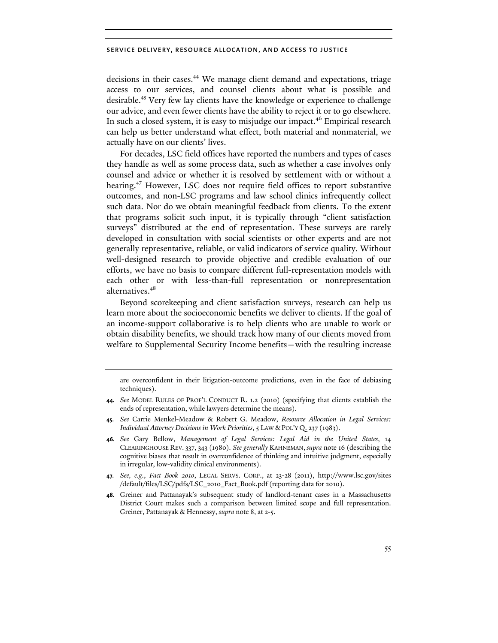decisions in their cases.<sup>44</sup> We manage client demand and expectations, triage access to our services, and counsel clients about what is possible and desirable.45 Very few lay clients have the knowledge or experience to challenge our advice, and even fewer clients have the ability to reject it or to go elsewhere. In such a closed system, it is easy to misjudge our impact.<sup>46</sup> Empirical research can help us better understand what effect, both material and nonmaterial, we actually have on our clients' lives.

For decades, LSC field offices have reported the numbers and types of cases they handle as well as some process data, such as whether a case involves only counsel and advice or whether it is resolved by settlement with or without a hearing.<sup>47</sup> However, LSC does not require field offices to report substantive outcomes, and non-LSC programs and law school clinics infrequently collect such data. Nor do we obtain meaningful feedback from clients. To the extent that programs solicit such input, it is typically through "client satisfaction surveys" distributed at the end of representation. These surveys are rarely developed in consultation with social scientists or other experts and are not generally representative, reliable, or valid indicators of service quality. Without well-designed research to provide objective and credible evaluation of our efforts, we have no basis to compare different full-representation models with each other or with less-than-full representation or nonrepresentation alternatives.<sup>48</sup>

Beyond scorekeeping and client satisfaction surveys, research can help us learn more about the socioeconomic benefits we deliver to clients. If the goal of an income-support collaborative is to help clients who are unable to work or obtain disability benefits, we should track how many of our clients moved from welfare to Supplemental Security Income benefits—with the resulting increase

are overconfident in their litigation-outcome predictions, even in the face of debiasing techniques).

**<sup>44.</sup>** *See* MODEL RULES OF PROF'L CONDUCT R. 1.2 (2010) (specifying that clients establish the ends of representation, while lawyers determine the means).

**<sup>45.</sup>** *See* Carrie Menkel-Meadow & Robert G. Meadow, *Resource Allocation in Legal Services: Individual Attorney Decisions in Work Priorities*, 5 LAW & POL'Y Q. 237 (1983).

**<sup>46.</sup>** *See* Gary Bellow, *Management of Legal Services: Legal Aid in the United States*, 14 CLEARINGHOUSE REV. 337, 343 (1980). *See generally* KAHNEMAN, *supra* note 16 (describing the cognitive biases that result in overconfidence of thinking and intuitive judgment, especially in irregular, low-validity clinical environments).

**<sup>47.</sup>** *See, e.g.*, *Fact Book 2010*, LEGAL SERVS. CORP., at 23-28 (2011), http://www.lsc.gov/sites /default/files/LSC/pdfs/LSC\_2010\_Fact\_Book.pdf (reporting data for 2010).

**<sup>48.</sup>** Greiner and Pattanayak's subsequent study of landlord-tenant cases in a Massachusetts District Court makes such a comparison between limited scope and full representation. Greiner, Pattanayak & Hennessy, *supra* note 8, at 2-5.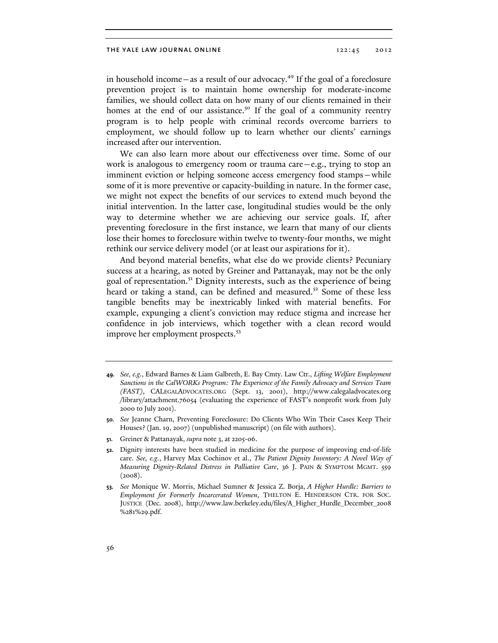in household income—as a result of our advocacy.<sup>49</sup> If the goal of a foreclosure prevention project is to maintain home ownership for moderate-income families, we should collect data on how many of our clients remained in their homes at the end of our assistance.<sup>50</sup> If the goal of a community reentry program is to help people with criminal records overcome barriers to employment, we should follow up to learn whether our clients' earnings increased after our intervention.

We can also learn more about our effectiveness over time. Some of our work is analogous to emergency room or trauma care—e.g., trying to stop an imminent eviction or helping someone access emergency food stamps—while some of it is more preventive or capacity-building in nature. In the former case, we might not expect the benefits of our services to extend much beyond the initial intervention. In the latter case, longitudinal studies would be the only way to determine whether we are achieving our service goals. If, after preventing foreclosure in the first instance, we learn that many of our clients lose their homes to foreclosure within twelve to twenty-four months, we might rethink our service delivery model (or at least our aspirations for it).

And beyond material benefits, what else do we provide clients? Pecuniary success at a hearing, as noted by Greiner and Pattanayak, may not be the only goal of representation.<sup>51</sup> Dignity interests, such as the experience of being heard or taking a stand, can be defined and measured.<sup>52</sup> Some of these less tangible benefits may be inextricably linked with material benefits. For example, expunging a client's conviction may reduce stigma and increase her confidence in job interviews, which together with a clean record would improve her employment prospects.<sup>53</sup>

- **51.** Greiner & Pattanayak, *supra* note 3, at 2205-06.
- **52.** Dignity interests have been studied in medicine for the purpose of improving end-of-life care. *See, e.g.*, Harvey Max Cochinov et al., *The Patient Dignity Inventory: A Novel Way of Measuring Dignity-Related Distress in Palliative Care*, 36 J. PAIN & SYMPTOM MGMT. 559  $(2008).$

**<sup>49.</sup>** *See, e.g.*, Edward Barnes & Liam Galbreth, E. Bay Cmty. Law Ctr., *Lifting Welfare Employment Sanctions in the CalWORKs Program: The Experience of the Family Advocacy and Services Team (FAST)*, CALEGALADVOCATES.ORG (Sept. 13, 2001), http://www.calegaladvocates.org /library/attachment.76054 (evaluating the experience of FAST's nonprofit work from July 2000 to July 2001).

**<sup>50.</sup>** *See* Jeanne Charn, Preventing Foreclosure: Do Clients Who Win Their Cases Keep Their Houses? (Jan. 19, 2007) (unpublished manuscript) (on file with authors).

**<sup>53.</sup>** *See* Monique W. Morris, Michael Sumner & Jessica Z. Borja, *A Higher Hurdle: Barriers to Employment for Formerly Incarcerated Women*, THELTON E. HENDERSON CTR. FOR SOC. JUSTICE (Dec. 2008), http://www.law.berkeley.edu/files/A\_Higher\_Hurdle\_December\_2008 %281%29.pdf.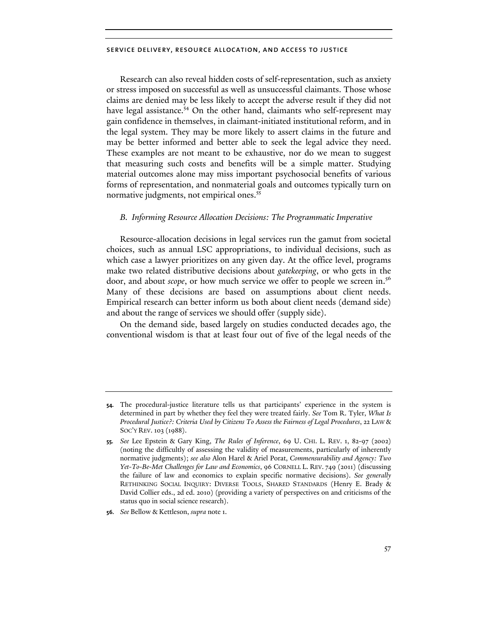Research can also reveal hidden costs of self-representation, such as anxiety or stress imposed on successful as well as unsuccessful claimants. Those whose claims are denied may be less likely to accept the adverse result if they did not have legal assistance.<sup>54</sup> On the other hand, claimants who self-represent may gain confidence in themselves, in claimant-initiated institutional reform, and in the legal system. They may be more likely to assert claims in the future and may be better informed and better able to seek the legal advice they need. These examples are not meant to be exhaustive, nor do we mean to suggest that measuring such costs and benefits will be a simple matter. Studying material outcomes alone may miss important psychosocial benefits of various forms of representation, and nonmaterial goals and outcomes typically turn on normative judgments, not empirical ones.<sup>55</sup>

#### *B. Informing Resource Allocation Decisions: The Programmatic Imperative*

Resource-allocation decisions in legal services run the gamut from societal choices, such as annual LSC appropriations, to individual decisions, such as which case a lawyer prioritizes on any given day. At the office level, programs make two related distributive decisions about *gatekeeping*, or who gets in the door, and about *scope*, or how much service we offer to people we screen in.<sup>56</sup> Many of these decisions are based on assumptions about client needs. Empirical research can better inform us both about client needs (demand side) and about the range of services we should offer (supply side).

On the demand side, based largely on studies conducted decades ago, the conventional wisdom is that at least four out of five of the legal needs of the

**<sup>54.</sup>** The procedural-justice literature tells us that participants' experience in the system is determined in part by whether they feel they were treated fairly. *See* Tom R. Tyler, *What Is Procedural Justice?: Criteria Used by Citizens To Assess the Fairness of Legal Procedures*, 22 LAW & SOC'Y REV. 103 (1988).

**<sup>55.</sup>** *See* Lee Epstein & Gary King, *The Rules of Inference*, 69 U. CHI. L. REV. 1, 82-97 (2002) (noting the difficultly of assessing the validity of measurements, particularly of inherently normative judgments); *see also* Alon Harel & Ariel Porat, *Commensurability and Agency: Two Yet-To-Be-Met Challenges for Law and Economics*, 96 CORNELL L. REV. 749 (2011) (discussing the failure of law and economics to explain specific normative decisions). *See generally*  RETHINKING SOCIAL INQUIRY: DIVERSE TOOLS, SHARED STANDARDS (Henry E. Brady & David Collier eds., 2d ed. 2010) (providing a variety of perspectives on and criticisms of the status quo in social science research).

**<sup>56.</sup>** *See* Bellow & Kettleson, *supra* note 1.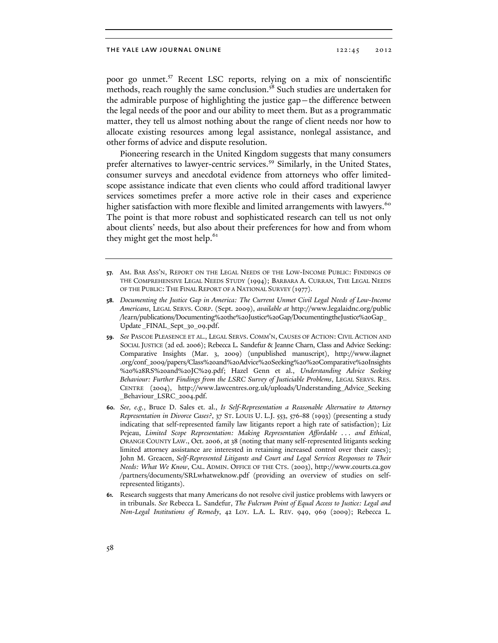poor go unmet.<sup>57</sup> Recent LSC reports, relying on a mix of nonscientific methods, reach roughly the same conclusion.<sup>58</sup> Such studies are undertaken for the admirable purpose of highlighting the justice gap—the difference between the legal needs of the poor and our ability to meet them. But as a programmatic matter, they tell us almost nothing about the range of client needs nor how to allocate existing resources among legal assistance, nonlegal assistance, and other forms of advice and dispute resolution.

Pioneering research in the United Kingdom suggests that many consumers prefer alternatives to lawyer-centric services.<sup>59</sup> Similarly, in the United States, consumer surveys and anecdotal evidence from attorneys who offer limitedscope assistance indicate that even clients who could afford traditional lawyer services sometimes prefer a more active role in their cases and experience higher satisfaction with more flexible and limited arrangements with lawyers.<sup>60</sup> The point is that more robust and sophisticated research can tell us not only about clients' needs, but also about their preferences for how and from whom they might get the most help.<sup>61</sup>

**<sup>57.</sup>** AM. BAR ASS'N, REPORT ON THE LEGAL NEEDS OF THE LOW-INCOME PUBLIC: FINDINGS OF THE COMPREHENSIVE LEGAL NEEDS STUDY (1994); BARBARA A. CURRAN, THE LEGAL NEEDS OF THE PUBLIC: THE FINAL REPORT OF A NATIONAL SURVEY (1977).

**<sup>58.</sup>** *Documenting the Justice Gap in America: The Current Unmet Civil Legal Needs of Low-Income Americans*, LEGAL SERVS. CORP. (Sept. 2009), *available at* http://www.legalaidnc.org/public /learn/publications/Documenting%20the%20Justice%20Gap/DocumentingtheJustice%20Gap\_ Update \_FINAL\_Sept\_30\_09.pdf.

**<sup>59.</sup>** *See* PASCOE PLEASENCE ET AL., LEGAL SERVS. COMM'N, CAUSES OF ACTION: CIVIL ACTION AND SOCIAL JUSTICE (2d ed. 2006); Rebecca L. Sandefur & Jeanne Charn, Class and Advice Seeking: Comparative Insights (Mar. 3, 2009) (unpublished manuscript), http://www.ilagnet .org/conf\_2009/papers/Class%20and%20Advice%20Seeking%20%20Comparative%20Insights %20%28RS%20and%20JC%29.pdf; Hazel Genn et al., *Understanding Advice Seeking Behaviour: Further Findings from the LSRC Survey of Justiciable Problems*, LEGAL SERVS. RES. CENTRE (2004), http://www.lawcentres.org.uk/uploads/Understanding\_Advice\_Seeking \_Behaviour\_LSRC\_2004.pdf.

**<sup>60.</sup>** *See, e.g.*, Bruce D. Sales et. al., *Is Self-Representation a Reasonable Alternative to Attorney Representation in Divorce Cases?*, 37 ST. LOUIS U. L.J. 553, 576-88 (1993) (presenting a study indicating that self-represented family law litigants report a high rate of satisfaction); Liz Pejeau, *Limited Scope Representation: Making Representation Affordable . . . and Ethical*, ORANGE COUNTY LAW., Oct. 2006, at 38 (noting that many self-represented litigants seeking limited attorney assistance are interested in retaining increased control over their cases); John M. Greacen, *Self-Represented Litigants and Court and Legal Services Responses to Their Needs: What We Know*, CAL. ADMIN. OFFICE OF THE CTS. (2003), http://www.courts.ca.gov /partners/documents/SRLwhatweknow.pdf (providing an overview of studies on selfrepresented litigants).

**<sup>61.</sup>** Research suggests that many Americans do not resolve civil justice problems with lawyers or in tribunals. *See* Rebecca L. Sandefur, *The Fulcrum Point of Equal Access to Justice: Legal and Non-Legal Institutions of Remedy*, 42 LOY. L.A. L. REV. 949, 969 (2009); Rebecca L.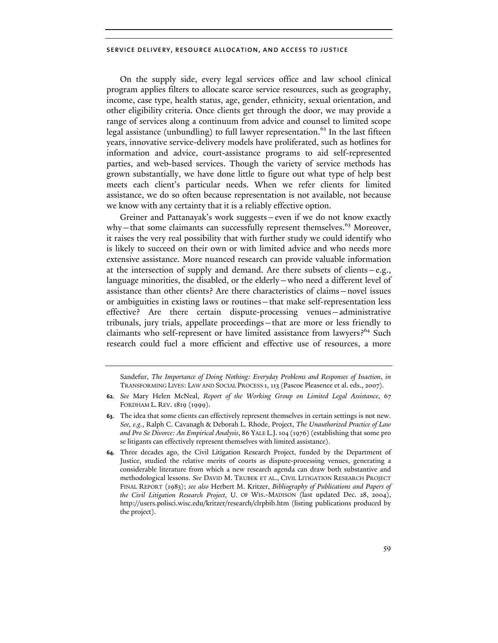On the supply side, every legal services office and law school clinical program applies filters to allocate scarce service resources, such as geography, income, case type, health status, age, gender, ethnicity, sexual orientation, and other eligibility criteria. Once clients get through the door, we may provide a range of services along a continuum from advice and counsel to limited scope legal assistance (unbundling) to full lawyer representation.<sup>62</sup> In the last fifteen years, innovative service-delivery models have proliferated, such as hotlines for information and advice, court-assistance programs to aid self-represented parties, and web-based services. Though the variety of service methods has grown substantially, we have done little to figure out what type of help best meets each client's particular needs. When we refer clients for limited assistance, we do so often because representation is not available, not because we know with any certainty that it is a reliably effective option.

Greiner and Pattanayak's work suggests—even if we do not know exactly why—that some claimants can successfully represent themselves.<sup>63</sup> Moreover, it raises the very real possibility that with further study we could identify who is likely to succeed on their own or with limited advice and who needs more extensive assistance. More nuanced research can provide valuable information at the intersection of supply and demand. Are there subsets of clients  $-e.g.,$ language minorities, the disabled, or the elderly—who need a different level of assistance than other clients? Are there characteristics of claims—novel issues or ambiguities in existing laws or routines—that make self-representation less effective? Are there certain dispute-processing venues—administrative tribunals, jury trials, appellate proceedings—that are more or less friendly to claimants who self-represent or have limited assistance from lawyers?<sup>64</sup> Such research could fuel a more efficient and effective use of resources, a more

Sandefur, *The Importance of Doing Nothing: Everyday Problems and Responses of Inaction*, *in* TRANSFORMING LIVES: LAW AND SOCIAL PROCESS 1, 113 (Pascoe Pleasence et al. eds., 2007).

**<sup>62.</sup>** *See* Mary Helen McNeal, *Report of the Working Group on Limited Legal Assistance*, 67 FORDHAM L. REV. 1819 (1999).

**<sup>63.</sup>** The idea that some clients can effectively represent themselves in certain settings is not new. *See, e.g.*, Ralph C. Cavanagh & Deborah L. Rhode, Project, *The Unauthorized Practice of Law and Pro Se Divorce: An Empirical Analysis*, 86 YALE L.J.104 (1976)(establishing that some pro se litigants can effectively represent themselves with limited assistance).

**<sup>64.</sup>** Three decades ago, the Civil Litigation Research Project, funded by the Department of Justice, studied the relative merits of courts as dispute-processing venues, generating a considerable literature from which a new research agenda can draw both substantive and methodological lessons. *See* DAVID M. TRUBEK ET AL., CIVIL LITIGATION RESEARCH PROJECT FINAL REPORT (1983); *see also* Herbert M. Kritzer, *Bibliography of Publications and Papers of the Civil Litigation Research Project*, U. OF WIS.-MADISON (last updated Dec. 28, 2004), http://users.polisci.wisc.edu/kritzer/research/clrpbib.htm (listing publications produced by the project).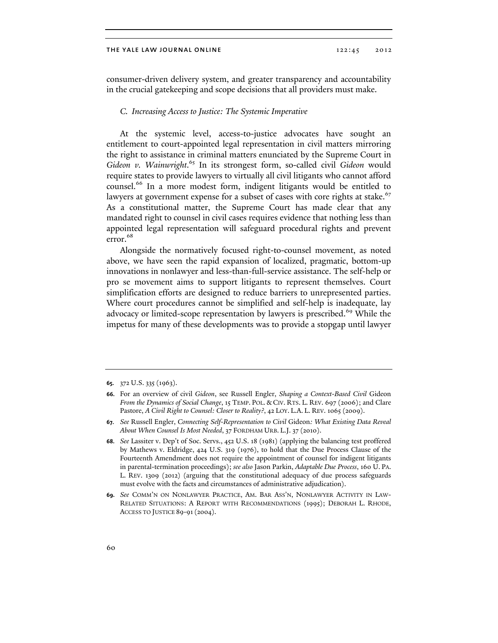consumer-driven delivery system, and greater transparency and accountability in the crucial gatekeeping and scope decisions that all providers must make.

## *C. Increasing Access to Justice: The Systemic Imperative*

At the systemic level, access-to-justice advocates have sought an entitlement to court-appointed legal representation in civil matters mirroring the right to assistance in criminal matters enunciated by the Supreme Court in Gideon v. Wainwright.<sup>65</sup> In its strongest form, so-called civil Gideon would require states to provide lawyers to virtually all civil litigants who cannot afford counsel.<sup>66</sup> In a more modest form, indigent litigants would be entitled to lawyers at government expense for a subset of cases with core rights at stake.<sup>67</sup> As a constitutional matter, the Supreme Court has made clear that any mandated right to counsel in civil cases requires evidence that nothing less than appointed legal representation will safeguard procedural rights and prevent error. 68

Alongside the normatively focused right-to-counsel movement, as noted above, we have seen the rapid expansion of localized, pragmatic, bottom-up innovations in nonlawyer and less-than-full-service assistance. The self-help or pro se movement aims to support litigants to represent themselves. Court simplification efforts are designed to reduce barriers to unrepresented parties. Where court procedures cannot be simplified and self-help is inadequate, lay advocacy or limited-scope representation by lawyers is prescribed.<sup>69</sup> While the impetus for many of these developments was to provide a stopgap until lawyer

**<sup>65.</sup>** 372 U.S. 335 (1963).

**<sup>66.</sup>** For an overview of civil *Gideon*, see Russell Engler, *Shaping a Context-Based Civil* Gideon *From the Dynamics of Social Change*, 15 TEMP. POL. & CIV. RTS. L. REV. 697 (2006); and Clare Pastore, *A Civil Right to Counsel: Closer to Reality?*, 42 LOY. L.A. L. REV. 1065 (2009).

**<sup>67.</sup>** *See* Russell Engler, *Connecting Self-Representation to Civil* Gideon*: What Existing Data Reveal About When Counsel Is Most Needed*, 37 FORDHAM URB. L.J. 37 (2010).

**<sup>68.</sup>** *See* Lassiter v. Dep't of Soc. Servs., 452 U.S. 18 (1981) (applying the balancing test proffered by Mathews v. Eldridge, 424 U.S. 319 (1976), to hold that the Due Process Clause of the Fourteenth Amendment does not require the appointment of counsel for indigent litigants in parental-termination proceedings); *see also* Jason Parkin, *Adaptable Due Process*, 160 U. PA. L. REV. 1309 (2012) (arguing that the constitutional adequacy of due process safeguards must evolve with the facts and circumstances of administrative adjudication).

**<sup>69.</sup>** *See* COMM'N ON NONLAWYER PRACTICE, AM. BAR ASS'N, NONLAWYER ACTIVITY IN LAW-RELATED SITUATIONS: A REPORT WITH RECOMMENDATIONS (1995); DEBORAH L. RHODE, ACCESS TO JUSTICE 89-91(2004).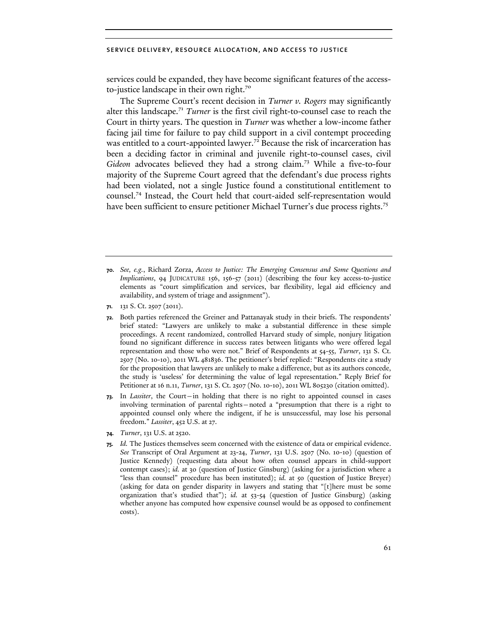services could be expanded, they have become significant features of the accessto-justice landscape in their own right.<sup>70</sup>

The Supreme Court's recent decision in *Turner v. Rogers* may significantly alter this landscape.<sup>71</sup> *Turner* is the first civil right-to-counsel case to reach the Court in thirty years. The question in *Turner* was whether a low-income father facing jail time for failure to pay child support in a civil contempt proceeding was entitled to a court-appointed lawyer.<sup>72</sup> Because the risk of incarceration has been a deciding factor in criminal and juvenile right-to-counsel cases, civil *Gideon* advocates believed they had a strong claim.73 While a five-to-four majority of the Supreme Court agreed that the defendant's due process rights had been violated, not a single Justice found a constitutional entitlement to counsel.74 Instead, the Court held that court-aided self-representation would have been sufficient to ensure petitioner Michael Turner's due process rights.<sup>75</sup>

**71.** 131 S. Ct. 2507 (2011).

**72.** Both parties referenced the Greiner and Pattanayak study in their briefs. The respondents' brief stated: "Lawyers are unlikely to make a substantial difference in these simple proceedings. A recent randomized, controlled Harvard study of simple, nonjury litigation found no significant difference in success rates between litigants who were offered legal representation and those who were not." Brief of Respondents at 54-55, *Turner*, 131 S. Ct. 2507 (No. 10-10), 2011 WL 481836. The petitioner's brief replied: "Respondents cite a study for the proposition that lawyers are unlikely to make a difference, but as its authors concede, the study is 'useless' for determining the value of legal representation." Reply Brief for Petitioner at 16 n.11, *Turner*, 131 S. Ct. 2507 (No. 10-10), 2011 WL 805230 (citation omitted).

- **73.** In *Lassiter*, the Court—in holding that there is no right to appointed counsel in cases involving termination of parental rights—noted a "presumption that there is a right to appointed counsel only where the indigent, if he is unsuccessful, may lose his personal freedom." *Lassiter*, 452 U.S. at 27.
- **74.** *Turner*, 131 U.S. at 2520.
- **75.** *Id.* The Justices themselves seem concerned with the existence of data or empirical evidence. *See* Transcript of Oral Argument at 23-24, *Turner*, 131 U.S. 2507 (No. 10-10) (question of Justice Kennedy) (requesting data about how often counsel appears in child-support contempt cases); *id.* at 30 (question of Justice Ginsburg) (asking for a jurisdiction where a "less than counsel" procedure has been instituted); *id.* at 50 (question of Justice Breyer) (asking for data on gender disparity in lawyers and stating that "[t]here must be some organization that's studied that"); *id.* at 53-54 (question of Justice Ginsburg) (asking whether anyone has computed how expensive counsel would be as opposed to confinement costs).

**<sup>70.</sup>** *See, e.g.*, Richard Zorza, *Access to Justice: The Emerging Consensus and Some Questions and Implications*, 94 JUDICATURE 156, 156-57 (2011) (describing the four key access-to-justice elements as "court simplification and services, bar flexibility, legal aid efficiency and availability, and system of triage and assignment").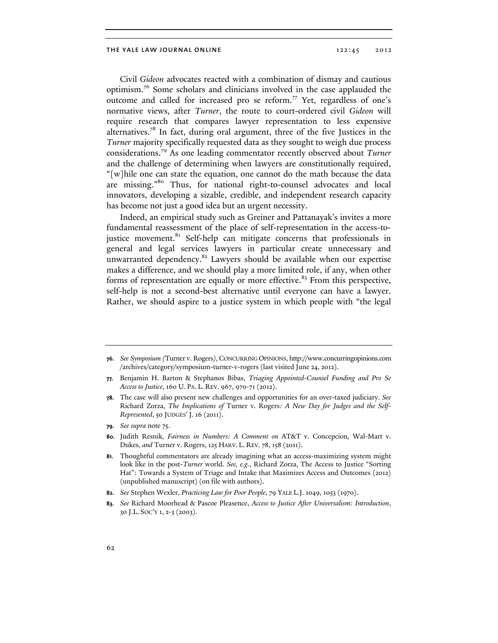Civil *Gideon* advocates reacted with a combination of dismay and cautious optimism.76 Some scholars and clinicians involved in the case applauded the outcome and called for increased pro se reform.77 Yet, regardless of one's normative views, after *Turner*, the route to court-ordered civil *Gideon* will require research that compares lawyer representation to less expensive alternatives.78 In fact, during oral argument, three of the five Justices in the *Turner* majority specifically requested data as they sought to weigh due process considerations.79 As one leading commentator recently observed about *Turner* and the challenge of determining when lawyers are constitutionally required, "[w]hile one can state the equation, one cannot do the math because the data are missing."80 Thus, for national right-to-counsel advocates and local innovators, developing a sizable, credible, and independent research capacity has become not just a good idea but an urgent necessity.

Indeed, an empirical study such as Greiner and Pattanayak's invites a more fundamental reassessment of the place of self-representation in the access-tojustice movement.<sup>81</sup> Self-help can mitigate concerns that professionals in general and legal services lawyers in particular create unnecessary and unwarranted dependency.<sup>82</sup> Lawyers should be available when our expertise makes a difference, and we should play a more limited role, if any, when other forms of representation are equally or more effective.<sup>83</sup> From this perspective, self-help is not a second-best alternative until everyone can have a lawyer. Rather, we should aspire to a justice system in which people with "the legal

**78.** The case will also present new challenges and opportunities for an over-taxed judiciary. *See* Richard Zorza, *The Implications of* Turner v. Rogers*: A New Day for Judges and the Self-Represented*, 50 JUDGES' J. 16 (2011).

**<sup>76.</sup>** *See Symposium (*Turner v. Rogers*)*, CONCURRING OPINIONS, http://www.concurringopinions.com /archives/category/symposium-turner-v-rogers (last visited June 24, 2012).

**<sup>77.</sup>** Benjamin H. Barton & Stephanos Bibas, *Triaging Appointed-Counsel Funding and Pro Se Access to Justice*, 160 U. PA. L. REV. 967, 970-71 (2012).

**<sup>79.</sup>** *See supra* note 75.

**<sup>80.</sup>** Judith Resnik, *Fairness in Numbers: A Comment on* AT&T v. Concepcion*,* Wal-Mart v. Dukes*, and* Turner v. Rogers, 125 HARV. L. REV. 78, 158 (2011).

**<sup>81.</sup>** Thoughtful commentators are already imagining what an access-maximizing system might look like in the post-*Turner* world. *See, e.g.*, Richard Zorza, The Access to Justice "Sorting Hat": Towards a System of Triage and Intake that Maximizes Access and Outcomes (2012) (unpublished manuscript) (on file with authors).

**<sup>82.</sup>** *See* Stephen Wexler, *Practicing Law for Poor People*, 79 YALE L.J. 1049, 1053 (1970).

**<sup>83.</sup>** *See* Richard Moorhead & Pascoe Pleasence, *Access to Justice After Universalism: Introduction*, 30 J.L. SOC'Y 1, 2-3 (2003).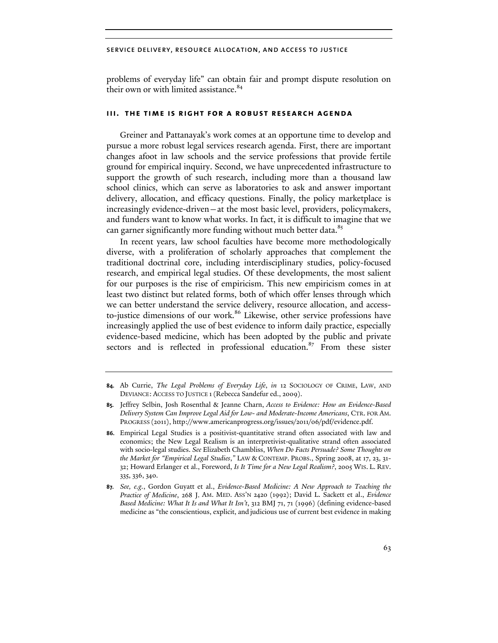problems of everyday life" can obtain fair and prompt dispute resolution on their own or with limited assistance.<sup>84</sup>

# **iii. the time is right for a robust research agenda**

Greiner and Pattanayak's work comes at an opportune time to develop and pursue a more robust legal services research agenda. First, there are important changes afoot in law schools and the service professions that provide fertile ground for empirical inquiry. Second, we have unprecedented infrastructure to support the growth of such research, including more than a thousand law school clinics, which can serve as laboratories to ask and answer important delivery, allocation, and efficacy questions. Finally, the policy marketplace is increasingly evidence-driven—at the most basic level, providers, policymakers, and funders want to know what works. In fact, it is difficult to imagine that we can garner significantly more funding without much better data.<sup>85</sup>

In recent years, law school faculties have become more methodologically diverse, with a proliferation of scholarly approaches that complement the traditional doctrinal core, including interdisciplinary studies, policy-focused research, and empirical legal studies. Of these developments, the most salient for our purposes is the rise of empiricism. This new empiricism comes in at least two distinct but related forms, both of which offer lenses through which we can better understand the service delivery, resource allocation, and accessto-justice dimensions of our work.<sup>86</sup> Likewise, other service professions have increasingly applied the use of best evidence to inform daily practice, especially evidence-based medicine, which has been adopted by the public and private sectors and is reflected in professional education.<sup>87</sup> From these sister

**<sup>84.</sup>** Ab Currie, *The Legal Problems of Everyday Life*, *in* 12 SOCIOLOGY OF CRIME, LAW, AND DEVIANCE: ACCESS TO JUSTICE 1(Rebecca Sandefur ed., 2009).

**<sup>85.</sup>** Jeffrey Selbin, Josh Rosenthal & Jeanne Charn, *Access to Evidence: How an Evidence-Based Delivery System Can Improve Legal Aid for Low- and Moderate-Income Americans*, CTR. FOR AM. PROGRESS (2011), http://www.americanprogress.org/issues/2011/06/pdf/evidence.pdf.

**<sup>86.</sup>** Empirical Legal Studies is a positivist-quantitative strand often associated with law and economics; the New Legal Realism is an interpretivist-qualitative strand often associated with socio-legal studies. *See* Elizabeth Chambliss, *When Do Facts Persuade? Some Thoughts on the Market for "Empirical Legal Studies*,*"* LAW & CONTEMP. PROBS., Spring 2008, at 17, 23, 31- 32; Howard Erlanger et al., Foreword, *Is It Time for a New Legal Realism?*, 2005 WIS. L. REV. 335, 336, 340.

**<sup>87.</sup>** *See, e.g.*, Gordon Guyatt et al., *Evidence-Based Medicine: A New Approach to Teaching the Practice of Medicine*, 268 J. AM. MED. ASS'N 2420 (1992); David L. Sackett et al., *Evidence Based Medicine: What It Is and What It Isn't*, 312 BMJ 71, 71 (1996) (defining evidence-based medicine as "the conscientious, explicit, and judicious use of current best evidence in making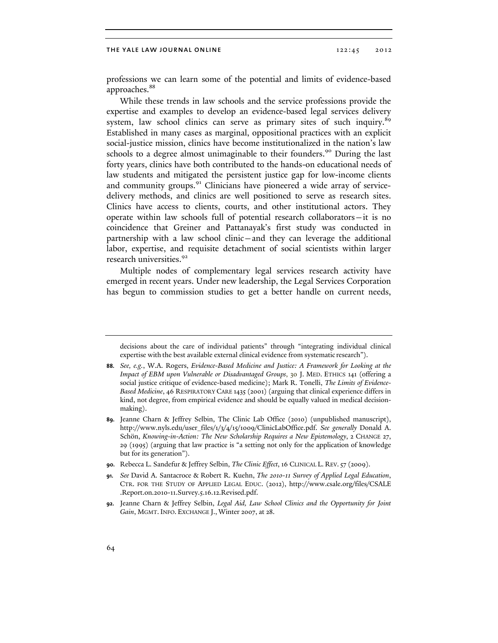professions we can learn some of the potential and limits of evidence-based approaches.<sup>88</sup>

While these trends in law schools and the service professions provide the expertise and examples to develop an evidence-based legal services delivery system, law school clinics can serve as primary sites of such inquiry.<sup>89</sup> Established in many cases as marginal, oppositional practices with an explicit social-justice mission, clinics have become institutionalized in the nation's law schools to a degree almost unimaginable to their founders.<sup>90</sup> During the last forty years, clinics have both contributed to the hands-on educational needs of law students and mitigated the persistent justice gap for low-income clients and community groups.<sup>91</sup> Clinicians have pioneered a wide array of servicedelivery methods, and clinics are well positioned to serve as research sites. Clinics have access to clients, courts, and other institutional actors. They operate within law schools full of potential research collaborators—it is no coincidence that Greiner and Pattanayak's first study was conducted in partnership with a law school clinic—and they can leverage the additional labor, expertise, and requisite detachment of social scientists within larger research universities.<sup>92</sup>

Multiple nodes of complementary legal services research activity have emerged in recent years. Under new leadership, the Legal Services Corporation has begun to commission studies to get a better handle on current needs,

**90.** Rebecca L. Sandefur & Jeffrey Selbin, *The Clinic Effect*, 16 CLINICAL L. REV.57 (2009).

decisions about the care of individual patients" through "integrating individual clinical expertise with the best available external clinical evidence from systematic research").

**<sup>88.</sup>** *See, e.g.*, W.A. Rogers, *Evidence-Based Medicine and Justice: A Framework for Looking at the Impact of EBM upon Vulnerable or Disadvantaged Groups*, 30 J. MED. ETHICS 141 (offering a social justice critique of evidence-based medicine); Mark R. Tonelli, *The Limits of Evidence-Based Medicine*, 46 RESPIRATORY CARE 1435 (2001) (arguing that clinical experience differs in kind, not degree, from empirical evidence and should be equally valued in medical decisionmaking).

**<sup>89.</sup>** Jeanne Charn & Jeffrey Selbin, The Clinic Lab Office (2010) (unpublished manuscript), http://www.nyls.edu/user\_files/1/3/4/15/1009/ClinicLabOffice.pdf. *See generally* Donald A. Schön, *Knowing-in-Action: The New Scholarship Requires a New Epistemology*, 2 CHANGE 27, 29 (1995) (arguing that law practice is "a setting not only for the application of knowledge but for its generation").

**<sup>91.</sup>** *See* David A. Santacroce & Robert R. Kuehn, *The 2010-11 Survey of Applied Legal Education*, CTR. FOR THE STUDY OF APPLIED LEGAL EDUC. (2012), http://www.csale.org/files/CSALE .Report.on.2010-11.Survey.5.16.12.Revised.pdf.

**<sup>92.</sup>** Jeanne Charn & Jeffrey Selbin, *Legal Aid, Law School Clinics and the Opportunity for Joint Gain*, MGMT. INFO. EXCHANGE J., Winter 2007, at 28.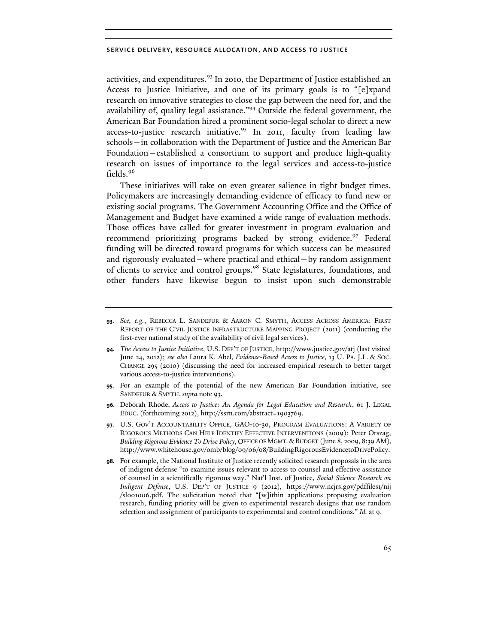activities, and expenditures.<sup>93</sup> In 2010, the Department of Justice established an Access to Justice Initiative, and one of its primary goals is to "[e]xpand research on innovative strategies to close the gap between the need for, and the availability of, quality legal assistance."94 Outside the federal government, the American Bar Foundation hired a prominent socio-legal scholar to direct a new access-to-justice research initiative.<sup>95</sup> In 2011, faculty from leading law schools—in collaboration with the Department of Justice and the American Bar Foundation—established a consortium to support and produce high-quality research on issues of importance to the legal services and access-to-justice fields.<sup>96</sup>

These initiatives will take on even greater salience in tight budget times. Policymakers are increasingly demanding evidence of efficacy to fund new or existing social programs. The Government Accounting Office and the Office of Management and Budget have examined a wide range of evaluation methods. Those offices have called for greater investment in program evaluation and recommend prioritizing programs backed by strong evidence.<sup>97</sup> Federal funding will be directed toward programs for which success can be measured and rigorously evaluated—where practical and ethical—by random assignment of clients to service and control groups.98 State legislatures, foundations, and other funders have likewise begun to insist upon such demonstrable

- **95.** For an example of the potential of the new American Bar Foundation initiative, see SANDEFUR & SMYTH, *supra* note 93.
- **96.** Deborah Rhode, *Access to Justice: An Agenda for Legal Education and Research*, 61 J. LEGAL EDUC. (forthcoming 2012), http://ssrn.com/abstract=1903769.
- **97.** U.S. GOV'T ACCOUNTABILITY OFFICE, GAO-10-30, PROGRAM EVALUATIONS: A VARIETY OF RIGOROUS METHODS CAN HELP IDENTIFY EFFECTIVE INTERVENTIONS (2009); Peter Orszag, *Building Rigorous Evidence To Drive Policy*, OFFICE OF MGMT.&BUDGET (June 8, 2009, 8:39 AM), http://www.whitehouse.gov/omb/blog/09/06/08/BuildingRigorousEvidencetoDrivePolicy.
- **98.** For example, the National Institute of Justice recently solicited research proposals in the area of indigent defense "to examine issues relevant to access to counsel and effective assistance of counsel in a scientifically rigorous way." Nat'l Inst. of Justice, *Social Science Research on Indigent Defense*, U.S. DEP'T OF JUSTICE 9 (2012), https://www.ncjrs.gov/pdffiles1/nij /sl001006.pdf. The solicitation noted that "[w]ithin applications proposing evaluation research, funding priority will be given to experimental research designs that use random selection and assignment of participants to experimental and control conditions." *Id.* at 9.

**<sup>93.</sup>** *See, e.g.*, REBECCA L. SANDEFUR & AARON C. SMYTH, ACCESS ACROSS AMERICA: FIRST REPORT OF THE CIVIL JUSTICE INFRASTRUCTURE MAPPING PROJECT (2011) (conducting the first-ever national study of the availability of civil legal services).

**<sup>94.</sup>** *The Access to Justice Initiative*, U.S. DEP'T OF JUSTICE, http://www.justice.gov/atj (last visited June 24, 2012); *see also* Laura K. Abel, *Evidence-Based Access to Justice*, 13 U. PA. J.L. & SOC. CHANGE 295 (2010) (discussing the need for increased empirical research to better target various access-to-justice interventions).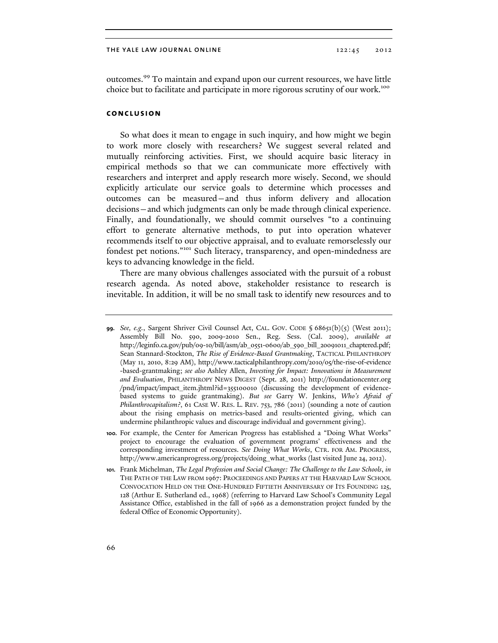outcomes.99 To maintain and expand upon our current resources, we have little choice but to facilitate and participate in more rigorous scrutiny of our work.<sup>100</sup>

# **conclusion**

So what does it mean to engage in such inquiry, and how might we begin to work more closely with researchers? We suggest several related and mutually reinforcing activities. First, we should acquire basic literacy in empirical methods so that we can communicate more effectively with researchers and interpret and apply research more wisely. Second, we should explicitly articulate our service goals to determine which processes and outcomes can be measured—and thus inform delivery and allocation decisions—and which judgments can only be made through clinical experience. Finally, and foundationally, we should commit ourselves "to a continuing effort to generate alternative methods, to put into operation whatever recommends itself to our objective appraisal, and to evaluate remorselessly our fondest pet notions."101 Such literacy, transparency, and open-mindedness are keys to advancing knowledge in the field.

There are many obvious challenges associated with the pursuit of a robust research agenda. As noted above, stakeholder resistance to research is inevitable. In addition, it will be no small task to identify new resources and to

**<sup>99.</sup>** *See, e.g.*, Sargent Shriver Civil Counsel Act, CAL. GOV. CODE § 68651(b)(5) (West 2011); Assembly Bill No. 590, 2009-2010 Sen., Reg. Sess. (Cal. 2009), *available at* http://leginfo.ca.gov/pub/09-10/bill/asm/ab\_0551-0600/ab\_590\_bill\_20091011\_chaptered.pdf; Sean Stannard-Stockton, *The Rise of Evidence-Based Grantmaking*, TACTICAL PHILANTHROPY (May 11, 2010, 8:29 AM), http://www.tacticalphilanthropy.com/2010/05/the-rise-of-evidence -based-grantmaking; *see also* Ashley Allen, *Investing for Impact: Innovations in Measurement and Evaluation*, PHILANTHROPY NEWS DIGEST (Sept. 28, 2011) http://foundationcenter.org /pnd/impact/impact\_item.jhtml?id=355100010 (discussing the development of evidencebased systems to guide grantmaking). *But see* Garry W. Jenkins, *Who's Afraid of Philanthrocapitalism?*, 61 CASE W. RES. L. REV. 753, 786 (2011) (sounding a note of caution about the rising emphasis on metrics-based and results-oriented giving, which can undermine philanthropic values and discourage individual and government giving).

**<sup>100.</sup>** For example, the Center for American Progress has established a "Doing What Works" project to encourage the evaluation of government programs' effectiveness and the corresponding investment of resources. *See Doing What Works*, CTR. FOR AM. PROGRESS, http://www.americanprogress.org/projects/doing\_what\_works (last visited June 24, 2012).

**<sup>101.</sup>** Frank Michelman, *The Legal Profession and Social Change: The Challenge to the Law Schools*, *in* THE PATH OF THE LAW FROM 1967: PROCEEDINGS AND PAPERS AT THE HARVARD LAW SCHOOL CONVOCATION HELD ON THE ONE-HUNDRED FIFTIETH ANNIVERSARY OF ITS FOUNDING 125, 128 (Arthur E. Sutherland ed., 1968) (referring to Harvard Law School's Community Legal Assistance Office, established in the fall of 1966 as a demonstration project funded by the federal Office of Economic Opportunity).